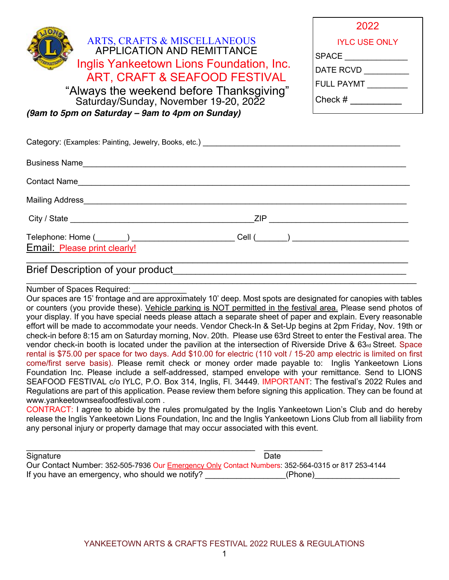| <b>ARTS, CRAFTS &amp; MISCELLANEOUS</b><br><b>APPLICATION AND REMITTANCE</b><br>Inglis Yankeetown Lions Foundation, Inc.<br>ART, CRAFT & SEAFOOD FESTIVAL<br>"Always the weekend before Thanksgiving"                                | 2022                 |  |
|--------------------------------------------------------------------------------------------------------------------------------------------------------------------------------------------------------------------------------------|----------------------|--|
|                                                                                                                                                                                                                                      | <b>IYLC USE ONLY</b> |  |
|                                                                                                                                                                                                                                      | SPACE ______________ |  |
|                                                                                                                                                                                                                                      | DATE RCVD __________ |  |
|                                                                                                                                                                                                                                      | <b>FULL PAYMT</b>    |  |
| Saturday/Sunday, November 19-20, 2022                                                                                                                                                                                                | Check #              |  |
| (9am to 5pm on Saturday - 9am to 4pm on Sunday)                                                                                                                                                                                      |                      |  |
|                                                                                                                                                                                                                                      |                      |  |
| Business Name <u>experience and the series of the series of the series of the series of the series of the series of the series of the series of the series of the series of the series of the series of the series of the series</u> |                      |  |
|                                                                                                                                                                                                                                      |                      |  |
| Mailing Address Management and the Contract of the Contract of the Contract of the Contract of the Contract of the Contract of the Contract of the Contract of the Contract of the Contract of the Contract of the Contract of       |                      |  |
| City / State ZIP ZIP                                                                                                                                                                                                                 |                      |  |
|                                                                                                                                                                                                                                      | Cell ( )             |  |
| Email: Please print clearly!                                                                                                                                                                                                         |                      |  |

# Brief Description of your product

Number of Spaces Required:

Our spaces are 15' frontage and are approximately 10' deep. Most spots are designated for canopies with tables or counters (you provide these). Vehicle parking is NOT permitted in the festival area. Please send photos of your display. If you have special needs please attach a separate sheet of paper and explain. Every reasonable effort will be made to accommodate your needs. Vendor Check-In & Set-Up begins at 2pm Friday, Nov. 19th or check-in before 8:15 am on Saturday morning, Nov. 20th. Please use 63rd Street to enter the Festival area. The vendor check-in booth is located under the pavilion at the intersection of Riverside Drive & 63rd Street. Space rental is \$75.00 per space for two days. Add \$10.00 for electric (110 volt / 15-20 amp electric is limited on first come/first serve basis). Please remit check or money order made payable to: Inglis Yankeetown Lions Foundation Inc. Please include a self-addressed, stamped envelope with your remittance. Send to LIONS SEAFOOD FESTIVAL c/o IYLC, P.O. Box 314, Inglis, Fl. 34449. IMPORTANT: The festival's 2022 Rules and Regulations are part of this application. Pease review them before signing this application. They can be found at www.yankeetownseafoodfestival.com .

\_\_\_\_\_\_\_\_\_\_\_\_\_\_\_\_\_\_\_\_\_\_\_\_\_\_\_\_\_\_\_\_\_\_\_\_\_\_\_\_\_\_\_\_\_\_\_\_\_\_\_\_\_\_\_\_\_\_\_\_\_\_\_\_\_\_\_\_\_\_\_\_\_\_\_\_\_\_

CONTRACT: I agree to abide by the rules promulgated by the Inglis Yankeetown Lion's Club and do hereby release the Inglis Yankeetown Lions Foundation, Inc and the Inglis Yankeetown Lions Club from all liability from any personal injury or property damage that may occur associated with this event.

| Signature                                       | Date                                                                                              |
|-------------------------------------------------|---------------------------------------------------------------------------------------------------|
|                                                 | Our Contact Number: 352-505-7936 Our Emergency Only Contact Numbers: 352-564-0315 or 817 253-4144 |
| If you have an emergency, who should we notify? | (Phone)                                                                                           |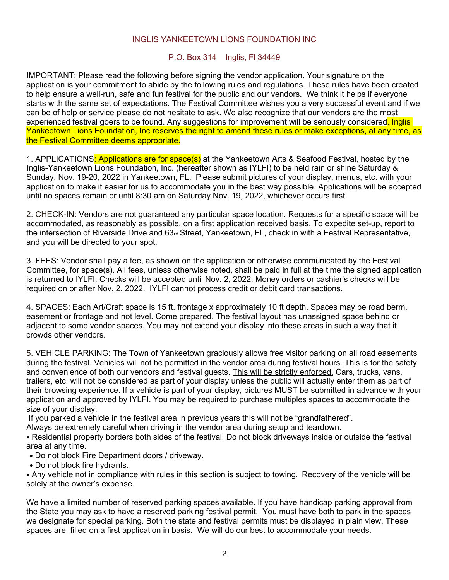#### INGLIS YANKEETOWN LIONS FOUNDATION INC

#### P.O. Box 314 Inglis, Fl 34449

IMPORTANT: Please read the following before signing the vendor application. Your signature on the application is your commitment to abide by the following rules and regulations. These rules have been created to help ensure a well-run, safe and fun festival for the public and our vendors. We think it helps if everyone starts with the same set of expectations. The Festival Committee wishes you a very successful event and if we can be of help or service please do not hesitate to ask. We also recognize that our vendors are the most experienced festival goers to be found. Any suggestions for improvement will be seriously considered. Inglis Yankeetown Lions Foundation, Inc reserves the right to amend these rules or make exceptions, at any time, as the Festival Committee deems appropriate.

1. APPLICATIONS: Applications are for space(s) at the Yankeetown Arts & Seafood Festival, hosted by the Inglis-Yankeetown Lions Foundation, Inc. (hereafter shown as IYLFI) to be held rain or shine Saturday & Sunday, Nov. 19-20, 2022 in Yankeetown, FL. Please submit pictures of your display, menus, etc. with your application to make it easier for us to accommodate you in the best way possible. Applications will be accepted until no spaces remain or until 8:30 am on Saturday Nov. 19, 2022, whichever occurs first.

2. CHECK-IN: Vendors are not guaranteed any particular space location. Requests for a specific space will be accommodated, as reasonably as possible, on a first application received basis. To expedite set-up, report to the intersection of Riverside Drive and  $63\pi$  Street, Yankeetown, FL, check in with a Festival Representative, and you will be directed to your spot.

3. FEES: Vendor shall pay a fee, as shown on the application or otherwise communicated by the Festival Committee, for space(s). All fees, unless otherwise noted, shall be paid in full at the time the signed application is returned to IYLFI. Checks will be accepted until Nov. 2, 2022. Money orders or cashier's checks will be required on or after Nov. 2, 2022. IYLFI cannot process credit or debit card transactions.

4. SPACES: Each Art/Craft space is 15 ft. frontage x approximately 10 ft depth. Spaces may be road berm, easement or frontage and not level. Come prepared. The festival layout has unassigned space behind or adjacent to some vendor spaces. You may not extend your display into these areas in such a way that it crowds other vendors.

5. VEHICLE PARKING: The Town of Yankeetown graciously allows free visitor parking on all road easements during the festival. Vehicles will not be permitted in the vendor area during festival hours. This is for the safety and convenience of both our vendors and festival guests. This will be strictly enforced. Cars, trucks, vans, trailers, etc. will not be considered as part of your display unless the public will actually enter them as part of their browsing experience. If a vehicle is part of your display, pictures MUST be submitted in advance with your application and approved by IYLFI. You may be required to purchase multiples spaces to accommodate the size of your display.

If you parked a vehicle in the festival area in previous years this will not be "grandfathered".

Always be extremely careful when driving in the vendor area during setup and teardown.

• Residential property borders both sides of the festival. Do not block driveways inside or outside the festival area at any time.

- Do not block Fire Department doors / driveway.
- • Do not block fire hydrants.

• Any vehicle not in compliance with rules in this section is subject to towing. Recovery of the vehicle will be solely at the owner's expense.

We have a limited number of reserved parking spaces available. If you have handicap parking approval from the State you may ask to have a reserved parking festival permit. You must have both to park in the spaces we designate for special parking. Both the state and festival permits must be displayed in plain view. These spaces are filled on a first application in basis. We will do our best to accommodate your needs.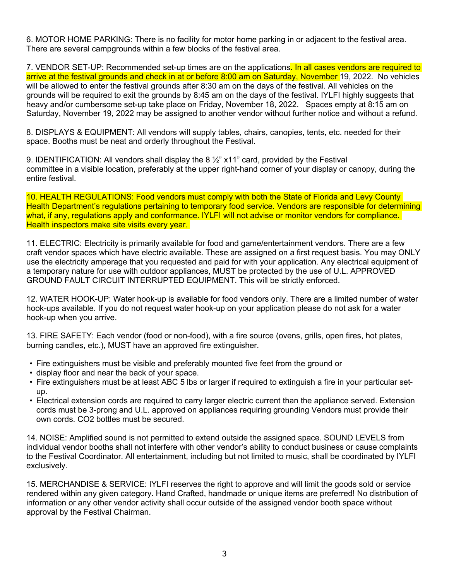6. MOTOR HOME PARKING: There is no facility for motor home parking in or adjacent to the festival area. There are several campgrounds within a few blocks of the festival area.

7. VENDOR SET-UP: Recommended set-up times are on the applications. In all cases vendors are required to arrive at the festival grounds and check in at or before 8:00 am on Saturday, November 19, 2022. No vehicles will be allowed to enter the festival grounds after 8:30 am on the days of the festival. All vehicles on the grounds will be required to exit the grounds by 8:45 am on the days of the festival. IYLFI highly suggests that heavy and/or cumbersome set-up take place on Friday, November 18, 2022. Spaces empty at 8:15 am on Saturday, November 19, 2022 may be assigned to another vendor without further notice and without a refund.

8. DISPLAYS & EQUIPMENT: All vendors will supply tables, chairs, canopies, tents, etc. needed for their space. Booths must be neat and orderly throughout the Festival.

9. IDENTIFICATION: All vendors shall display the 8 ½" x11" card, provided by the Festival committee in a visible location, preferably at the upper right-hand corner of your display or canopy, during the entire festival.

10. HEALTH REGULATIONS: Food vendors must comply with both the State of Florida and Levy County Health Department's regulations pertaining to temporary food service. Vendors are responsible for determining what, if any, regulations apply and conformance. IYLFI will not advise or monitor vendors for compliance. Health inspectors make site visits every year.

11. ELECTRIC: Electricity is primarily available for food and game/entertainment vendors. There are a few craft vendor spaces which have electric available. These are assigned on a first request basis. You may ONLY use the electricity amperage that you requested and paid for with your application. Any electrical equipment of a temporary nature for use with outdoor appliances, MUST be protected by the use of U.L. APPROVED GROUND FAULT CIRCUIT INTERRUPTED EQUIPMENT. This will be strictly enforced.

12. WATER HOOK-UP: Water hook-up is available for food vendors only. There are a limited number of water hook-ups available. If you do not request water hook-up on your application please do not ask for a water hook-up when you arrive.

13. FIRE SAFETY: Each vendor (food or non-food), with a fire source (ovens, grills, open fires, hot plates, burning candles, etc.), MUST have an approved fire extinguisher.

- Fire extinguishers must be visible and preferably mounted five feet from the ground or
- display floor and near the back of your space.
- Fire extinguishers must be at least ABC 5 lbs or larger if required to extinguish a fire in your particular setup.
- Electrical extension cords are required to carry larger electric current than the appliance served. Extension cords must be 3-prong and U.L. approved on appliances requiring grounding Vendors must provide their own cords. CO2 bottles must be secured.

14. NOISE: Amplified sound is not permitted to extend outside the assigned space. SOUND LEVELS from individual vendor booths shall not interfere with other vendor's ability to conduct business or cause complaints to the Festival Coordinator. All entertainment, including but not limited to music, shall be coordinated by IYLFI exclusively.

15. MERCHANDISE & SERVICE: IYLFI reserves the right to approve and will limit the goods sold or service rendered within any given category. Hand Crafted, handmade or unique items are preferred! No distribution of information or any other vendor activity shall occur outside of the assigned vendor booth space without approval by the Festival Chairman.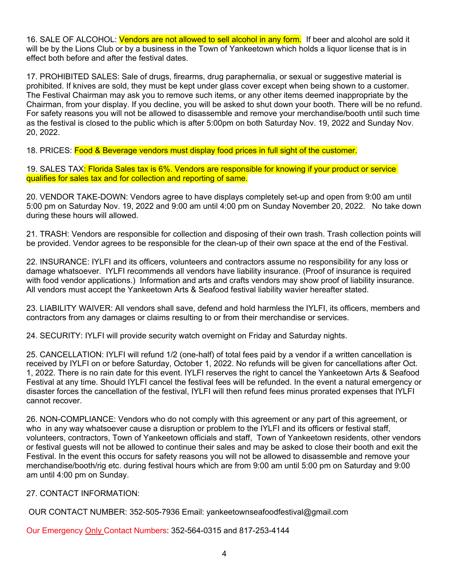16. SALE OF ALCOHOL: Vendors are not allowed to sell alcohol in any form. If beer and alcohol are sold it will be by the Lions Club or by a business in the Town of Yankeetown which holds a liquor license that is in effect both before and after the festival dates.

17. PROHIBITED SALES: Sale of drugs, firearms, drug paraphernalia, or sexual or suggestive material is prohibited. If knives are sold, they must be kept under glass cover except when being shown to a customer. The Festival Chairman may ask you to remove such items, or any other items deemed inappropriate by the Chairman, from your display. If you decline, you will be asked to shut down your booth. There will be no refund. For safety reasons you will not be allowed to disassemble and remove your merchandise/booth until such time as the festival is closed to the public which is after 5:00pm on both Saturday Nov. 19, 2022 and Sunday Nov. 20, 2022.

18. PRICES: Food & Beverage vendors must display food prices in full sight of the customer.

19. SALES TAX: Florida Sales tax is 6%. Vendors are responsible for knowing if your product or service qualifies for sales tax and for collection and reporting of same.

20. VENDOR TAKE-DOWN: Vendors agree to have displays completely set-up and open from 9:00 am until 5:00 pm on Saturday Nov. 19, 2022 and 9:00 am until 4:00 pm on Sunday November 20, 2022. No take down during these hours will allowed.

21. TRASH: Vendors are responsible for collection and disposing of their own trash. Trash collection points will be provided. Vendor agrees to be responsible for the clean-up of their own space at the end of the Festival.

22. INSURANCE: IYLFI and its officers, volunteers and contractors assume no responsibility for any loss or damage whatsoever. IYLFI recommends all vendors have liability insurance. (Proof of insurance is required with food vendor applications.) Information and arts and crafts vendors may show proof of liability insurance. All vendors must accept the Yankeetown Arts & Seafood festival liability wavier hereafter stated.

23. LIABILITY WAIVER: All vendors shall save, defend and hold harmless the IYLFI, its officers, members and contractors from any damages or claims resulting to or from their merchandise or services.

24. SECURITY: IYLFI will provide security watch overnight on Friday and Saturday nights.

25. CANCELLATION: IYLFI will refund 1/2 (one-half) of total fees paid by a vendor if a written cancellation is received by IYLFI on or before Saturday, October 1, 2022. No refunds will be given for cancellations after Oct. 1, 2022. There is no rain date for this event. IYLFI reserves the right to cancel the Yankeetown Arts & Seafood Festival at any time. Should IYLFI cancel the festival fees will be refunded. In the event a natural emergency or disaster forces the cancellation of the festival, IYLFI will then refund fees minus prorated expenses that IYLFI cannot recover.

26. NON-COMPLIANCE: Vendors who do not comply with this agreement or any part of this agreement, or who in any way whatsoever cause a disruption or problem to the IYLFI and its officers or festival staff, volunteers, contractors, Town of Yankeetown officials and staff, Town of Yankeetown residents, other vendors or festival guests will not be allowed to continue their sales and may be asked to close their booth and exit the Festival. In the event this occurs for safety reasons you will not be allowed to disassemble and remove your merchandise/booth/rig etc. during festival hours which are from 9:00 am until 5:00 pm on Saturday and 9:00 am until 4:00 pm on Sunday.

27. CONTACT INFORMATION:

OUR CONTACT NUMBER: 352-505-7936 Email: yankeetownseafoodfestival@gmail.com

Our Emergency Only Contact Numbers: 352-564-0315 and 817-253-4144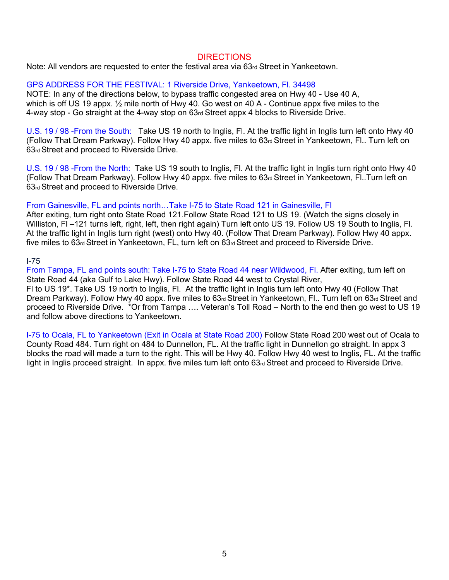#### DIRECTIONS

Note: All vendors are requested to enter the festival area via 63rd Street in Yankeetown.

#### GPS ADDRESS FOR THE FESTIVAL: 1 Riverside Drive, Yankeetown, Fl. 34498

NOTE: In any of the directions below, to bypass traffic congested area on Hwy 40 - Use 40 A, which is off US 19 appx.  $\frac{1}{2}$  mile north of Hwy 40. Go west on 40 A - Continue appx five miles to the 4-way stop - Go straight at the 4-way stop on 63rd Street appx 4 blocks to Riverside Drive.

U.S. 19 / 98 -From the South: Take US 19 north to Inglis, Fl. At the traffic light in Inglis turn left onto Hwy 40 (Follow That Dream Parkway). Follow Hwy 40 appx. five miles to 63rd Street in Yankeetown, Fl.. Turn left on 63rd Street and proceed to Riverside Drive.

U.S. 19 / 98 -From the North: Take US 19 south to Inglis, Fl. At the traffic light in Inglis turn right onto Hwy 40 (Follow That Dream Parkway). Follow Hwy 40 appx. five miles to 63rd Street in Yankeetown, Fl..Turn left on 63rd Street and proceed to Riverside Drive.

#### From Gainesville, FL and points north…Take I-75 to State Road 121 in Gainesville, Fl

After exiting, turn right onto State Road 121.Follow State Road 121 to US 19. (Watch the signs closely in Williston, FI-121 turns left, right, left, then right again) Turn left onto US 19. Follow US 19 South to Inglis, FI. At the traffic light in Inglis turn right (west) onto Hwy 40. (Follow That Dream Parkway). Follow Hwy 40 appx. five miles to 63<sub>rd</sub> Street in Yankeetown, FL, turn left on 63<sub>rd</sub> Street and proceed to Riverside Drive.

#### I-75

From Tampa, FL and points south: Take I-75 to State Road 44 near Wildwood, Fl. After exiting, turn left on State Road 44 (aka Gulf to Lake Hwy). Follow State Road 44 west to Crystal River,

Fl to US 19\*. Take US 19 north to Inglis, Fl. At the traffic light in Inglis turn left onto Hwy 40 (Follow That Dream Parkway). Follow Hwy 40 appx. five miles to 63rd Street in Yankeetown, Fl.. Turn left on 63rd Street and proceed to Riverside Drive. \*Or from Tampa …. Veteran's Toll Road – North to the end then go west to US 19 and follow above directions to Yankeetown.

I-75 to Ocala, FL to Yankeetown (Exit in Ocala at State Road 200) Follow State Road 200 west out of Ocala to County Road 484. Turn right on 484 to Dunnellon, FL. At the traffic light in Dunnellon go straight. In appx 3 blocks the road will made a turn to the right. This will be Hwy 40. Follow Hwy 40 west to Inglis, FL. At the traffic light in Inglis proceed straight. In appx. five miles turn left onto 63rd Street and proceed to Riverside Drive.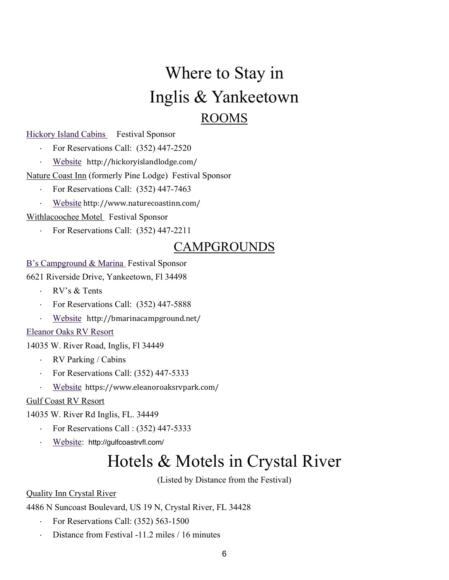# Where to Stay in Inglis & Yankeetown ROOMS

## Hickory Island Cabins Festival Sponsor

- · For Reservations Call: (352) 447-2520
- · Website http://hickoryislandlodge.com/

# Nature Coast Inn (formerly Pine Lodge) Festival Sponsor

- · For Reservations Call: (352) 447-7463
- Website http://www.naturecoastinn.com/

Withlacoochee Motel Festival Sponsor

· For Reservations Call: (352) 447-2211

# CAMPGROUNDS

# B's Campground & Marina Festival Sponsor

6621 Riverside Drive, Yankeetown, Fl 34498

- · RV's & Tents
- For Reservations Call: (352) 447-5888
- Website http://bmarinacampground.net/

### Eleanor Oaks RV Resort

14035 W. River Road, Inglis, Fl 34449

- · RV Parking / Cabins
- · For Reservations Call: (352) 447-5333
- Website https://www.eleanoroaksrvpark.com/

# Gulf Coast RV Resort

# 14035 W. River Rd Inglis, FL. 34449

- · For Reservations Call : (352) 447-5333
- Website: http://gulfcoastrvfl.com/

# Hotels & Motels in Crystal River

(Listed by Distance from the Festival)

# Quality Inn Crystal River

4486 N Suncoast Boulevard, US 19 N, Crystal River, FL 34428

- · For Reservations Call: (352) 563-1500
- Distance from Festival -11.2 miles / 16 minutes